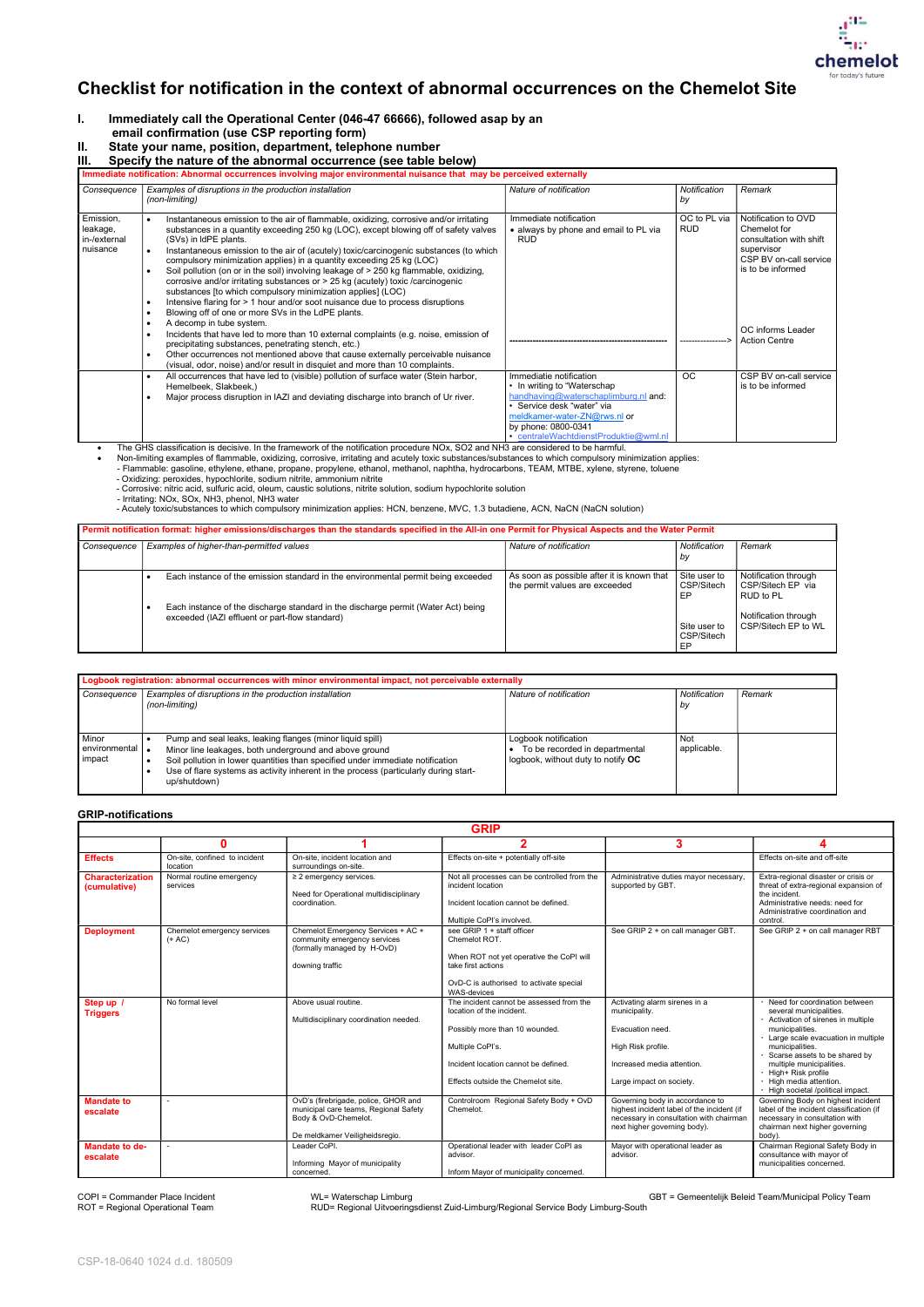CSP-18-0640 1024 d.d. 180509

- I. Immediately call the Operational Center (046-47 66666), followed asap by an email confirmation (use CSP reporting form)<br>II. State your name, position, department, teleph
- State your name, position, department, telephone number



## Checklist for notification in the context of abnormal occurrences on the Chemelot Site

III. Specify the nature of the abnormal occurrence (see table below)

| Immediate notification: Abnormal occurrences involving major environmental nuisance that may be perceived externally |                                                                                                                                                                                                                                                                                                                                                                                                                                                                                                                                                                                                                                                                                                                                                                                                                                                            |                                                                                                                                                                                                                               |                            |                                                                                                                             |  |
|----------------------------------------------------------------------------------------------------------------------|------------------------------------------------------------------------------------------------------------------------------------------------------------------------------------------------------------------------------------------------------------------------------------------------------------------------------------------------------------------------------------------------------------------------------------------------------------------------------------------------------------------------------------------------------------------------------------------------------------------------------------------------------------------------------------------------------------------------------------------------------------------------------------------------------------------------------------------------------------|-------------------------------------------------------------------------------------------------------------------------------------------------------------------------------------------------------------------------------|----------------------------|-----------------------------------------------------------------------------------------------------------------------------|--|
| Consequence                                                                                                          | Examples of disruptions in the production installation<br>(non-limiting)                                                                                                                                                                                                                                                                                                                                                                                                                                                                                                                                                                                                                                                                                                                                                                                   | Nature of notification                                                                                                                                                                                                        | Notification<br>by         | Remark                                                                                                                      |  |
| Emission,<br>leakage,<br>in-/external<br>nuisance                                                                    | Instantaneous emission to the air of flammable, oxidizing, corrosive and/or irritating<br>$\bullet$<br>substances in a quantity exceeding 250 kg (LOC), except blowing off of safety valves<br>(SVs) in IdPE plants.<br>Instantaneous emission to the air of (acutely) toxic/carcinogenic substances (to which<br>$\bullet$<br>compulsory minimization applies) in a quantity exceeding 25 kg (LOC)<br>Soil pollution (on or in the soil) involving leakage of > 250 kg flammable, oxidizing,<br>corrosive and/or irritating substances or > 25 kg (acutely) toxic /carcinogenic<br>substances [to which compulsory minimization applies] (LOC)<br>Intensive flaring for > 1 hour and/or soot nuisance due to process disruptions<br>$\bullet$<br>Blowing off of one or more SVs in the LdPE plants.<br>$\bullet$<br>A decomp in tube system.<br>$\bullet$ | Immediate notification<br>• always by phone and email to PL via<br><b>RUD</b>                                                                                                                                                 | OC to PL via<br><b>RUD</b> | Notification to OVD<br>Chemelot for<br>consultation with shift<br>supervisor<br>CSP BV on-call service<br>is to be informed |  |
|                                                                                                                      | Incidents that have led to more than 10 external complaints (e.g. noise, emission of<br>precipitating substances, penetrating stench, etc.)<br>Other occurrences not mentioned above that cause externally perceivable nuisance<br>$\bullet$<br>(visual, odor, noise) and/or result in disquiet and more than 10 complaints.                                                                                                                                                                                                                                                                                                                                                                                                                                                                                                                               |                                                                                                                                                                                                                               |                            | OC informs Leader<br><b>Action Centre</b>                                                                                   |  |
|                                                                                                                      | All occurrences that have led to (visible) pollution of surface water (Stein harbor,<br>$\bullet$<br>Hemelbeek, Slakbeek,)<br>Major process disruption in IAZI and deviating discharge into branch of Ur river.                                                                                                                                                                                                                                                                                                                                                                                                                                                                                                                                                                                                                                            | Immediatie notification<br>• In writing to "Waterschap"<br>handhaving@waterschaplimburg.nl and:<br>• Service desk "water" via<br>meldkamer-water-ZN@rws.nl or<br>by phone: 0800-0341<br>• centraleWachtdienstProduktie@wml.nl | <b>OC</b>                  | CSP BV on-call service<br>is to be informed                                                                                 |  |

The GHS classification is decisive. In the framework of the notification procedure NOx, SO2 and NH3 are considered to be harmful.

Non-limiting examples of flammable, oxidizing, corrosive, irritating and acutely toxic substances/substances to which compulsory minimization applies:

- Flammable: gasoline, ethylene, ethane, propane, propylene, ethanol, methanol, naphtha, hydrocarbons, TEAM, MTBE, xylene, styrene, toluene

- Oxidizing: peroxides, hypochlorite, sodium nitrite, ammonium nitrite

- Corrosive: nitric acid, sulfuric acid, oleum, caustic solutions, nitrite solution, sodium hypochlorite solution

- Irritating: NOx, SOx, NH3, phenol, NH3 water

- Acutely toxic/substances to which compulsory minimization applies: HCN, benzene, MVC, 1.3 butadiene, ACN, NaCN (NaCN solution)

| Permit notification format: higher emissions/discharges than the standards specified in the All-in one Permit for Physical Aspects and the Water Permit |                                                                                                                                     |                                                                              |                                  |                                                        |
|---------------------------------------------------------------------------------------------------------------------------------------------------------|-------------------------------------------------------------------------------------------------------------------------------------|------------------------------------------------------------------------------|----------------------------------|--------------------------------------------------------|
| Consequence                                                                                                                                             | Examples of higher-than-permitted values                                                                                            | Nature of notification                                                       | Notification<br>by               | Remark                                                 |
|                                                                                                                                                         | Each instance of the emission standard in the environmental permit being exceeded                                                   | As soon as possible after it is known that<br>the permit values are exceeded | Site user to<br>CSP/Sitech<br>EP | Notification through<br>CSP/Sitech EP via<br>RUD to PL |
|                                                                                                                                                         | Each instance of the discharge standard in the discharge permit (Water Act) being<br>exceeded (IAZI effluent or part-flow standard) |                                                                              | Site user to<br>CSP/Sitech<br>EP | Notification through<br>CSP/Sitech EP to WL            |

| Logbook registration: abnormal occurrences with minor environmental impact, not perceivable externally |                                                                                                                                                                                                                                                                                                               |                                                                                              |                           |        |  |
|--------------------------------------------------------------------------------------------------------|---------------------------------------------------------------------------------------------------------------------------------------------------------------------------------------------------------------------------------------------------------------------------------------------------------------|----------------------------------------------------------------------------------------------|---------------------------|--------|--|
| Consequence                                                                                            | Examples of disruptions in the production installation<br>(non-limiting)                                                                                                                                                                                                                                      | Nature of notification                                                                       | Notification<br>by        | Remark |  |
| Minor<br>environmental<br>impact                                                                       | Pump and seal leaks, leaking flanges (minor liquid spill)<br>Minor line leakages, both underground and above ground<br>Soil pollution in lower quantities than specified under immediate notification<br>Use of flare systems as activity inherent in the process (particularly during start-<br>up/shutdown) | Logbook notification<br>To be recorded in departmental<br>logbook, without duty to notify OC | <b>Not</b><br>applicable. |        |  |

## GRIP-notifications

| <b>GRIP</b>                             |                                           |                                                                                                                                         |                                                                                                                                                                                                           |                                                                                                                                                          |                                                                                                                                                                                                                                                                                                                                 |
|-----------------------------------------|-------------------------------------------|-----------------------------------------------------------------------------------------------------------------------------------------|-----------------------------------------------------------------------------------------------------------------------------------------------------------------------------------------------------------|----------------------------------------------------------------------------------------------------------------------------------------------------------|---------------------------------------------------------------------------------------------------------------------------------------------------------------------------------------------------------------------------------------------------------------------------------------------------------------------------------|
|                                         | O                                         |                                                                                                                                         | 2                                                                                                                                                                                                         | 3                                                                                                                                                        |                                                                                                                                                                                                                                                                                                                                 |
| <b>Effects</b>                          | On-site, confined to incident<br>location | On-site, incident location and<br>surroundings on-site.                                                                                 | Effects on-site + potentially off-site                                                                                                                                                                    |                                                                                                                                                          | Effects on-site and off-site                                                                                                                                                                                                                                                                                                    |
| <b>Characterization</b><br>(cumulative) | Normal routine emergency<br>services      | $\geq$ 2 emergency services.<br>Need for Operational multidisciplinary<br>coordination.                                                 | Not all processes can be controlled from the<br>incident location<br>Incident location cannot be defined.<br>Multiple CoPI's involved.                                                                    | Administrative duties mayor necessary<br>supported by GBT.                                                                                               | Extra-regional disaster or crisis or<br>threat of extra-regional expansion of<br>the incident.<br>Administrative needs: need for<br>Administrative coordination and<br>control.                                                                                                                                                 |
| <b>Deployment</b>                       | Chemelot emergency services<br>$(+ AC)$   | Chemelot Emergency Services + AC +<br>community emergency services<br>(formally managed by H-OvD)<br>downing traffic                    | see GRIP 1 + staff officer<br>Chemelot ROT.<br>When ROT not yet operative the CoPI will<br>take first actions<br>OvD-C is authorised to activate special<br>WAS-devices                                   | See GRIP 2 + on call manager GBT.                                                                                                                        | See GRIP 2 + on call manager RBT                                                                                                                                                                                                                                                                                                |
| Step up<br><b>Triggers</b>              | No formal level                           | Above usual routine.<br>Multidisciplinary coordination needed.                                                                          | The incident cannot be assessed from the<br>location of the incident.<br>Possibly more than 10 wounded.<br>Multiple CoPI's.<br>Incident location cannot be defined.<br>Effects outside the Chemelot site. | Activating alarm sirenes in a<br>municipality.<br>Evacuation need.<br>High Risk profile.<br>Increased media attention.<br>Large impact on society.       | Need for coordination between<br>several municipalities.<br>Activation of sirenes in multiple<br>municipalities.<br>Large scale evacuation in multiple<br>municipalities.<br>Scarse assets to be shared by<br>multiple municipalities.<br>· High+ Risk profile<br>· High media attention.<br>· High societal /political impact. |
| <b>Mandate to</b><br>escalate           |                                           | OvD's (firebrigade, police, GHOR and<br>municipal care teams, Regional Safety<br>Body & OvD-Chemelot.<br>De meldkamer Veiligheidsregio. | Controlroom Regional Safety Body + OvD<br>Chemelot.                                                                                                                                                       | Governing body in accordance to<br>highest incident label of the incident (if<br>necessary in consultation with chairman<br>next higher governing body). | Governing Body on highest incident<br>label of the incident classification (if<br>necessary in consultation with<br>chairman next higher governing<br>body).                                                                                                                                                                    |
| <b>Mandate to de-</b><br>escalate       |                                           | Leader CoPI.<br>Informing Mayor of municipality<br>concerned.                                                                           | Operational leader with leader CoPI as<br>advisor.<br>Inform Mayor of municipality concerned.                                                                                                             | Mayor with operational leader as<br>advisor.                                                                                                             | Chairman Regional Safety Body in<br>consultance with mayor of<br>municipalities concerned.                                                                                                                                                                                                                                      |

COPI = Commander Place Incident 
WL= Waterschap Limburg 

WL GBT = Gemeentelijk Beleid Team/Municipal Policy Team

ROT = Regional Operational Team RUD= Regional Uitvoeringsdienst Zuid-Limburg/Regional Service Body Limburg-South